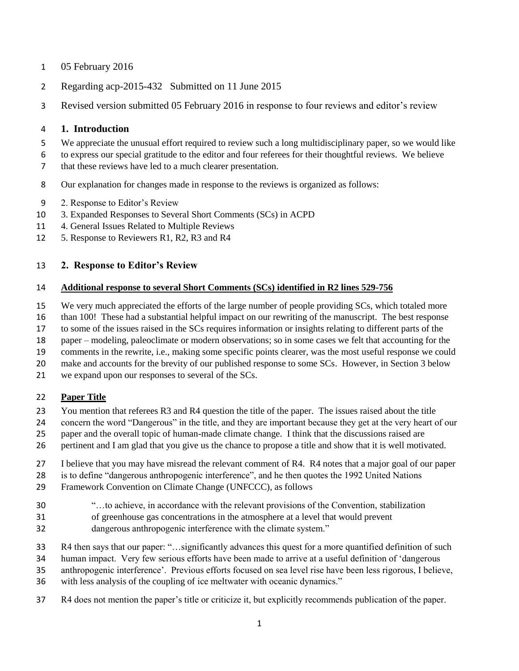- 05 February 2016
- Regarding acp-2015-432 Submitted on 11 June 2015
- Revised version submitted 05 February 2016 in response to four reviews and editor's review

#### **1. Introduction**

- We appreciate the unusual effort required to review such a long multidisciplinary paper, so we would like
- to express our special gratitude to the editor and four referees for their thoughtful reviews. We believe
- that these reviews have led to a much clearer presentation.
- Our explanation for changes made in response to the reviews is organized as follows:
- 2. Response to Editor's Review
- 3. Expanded Responses to Several Short Comments (SCs) in ACPD
- 4. General Issues Related to Multiple Reviews
- 5. Response to Reviewers R1, R2, R3 and R4

### **2. Response to Editor's Review**

#### **Additional response to several Short Comments (SCs) identified in R2 lines 529-756**

- We very much appreciated the efforts of the large number of people providing SCs, which totaled more
- than 100! These had a substantial helpful impact on our rewriting of the manuscript. The best response
- to some of the issues raised in the SCs requires information or insights relating to different parts of the
- paper modeling, paleoclimate or modern observations; so in some cases we felt that accounting for the
- comments in the rewrite, i.e., making some specific points clearer, was the most useful response we could
- make and accounts for the brevity of our published response to some SCs. However, in Section 3 below
- we expand upon our responses to several of the SCs.

### **Paper Title**

- You mention that referees R3 and R4 question the title of the paper. The issues raised about the title
- concern the word "Dangerous" in the title, and they are important because they get at the very heart of our
- paper and the overall topic of human-made climate change. I think that the discussions raised are
- pertinent and I am glad that you give us the chance to propose a title and show that it is well motivated.
- I believe that you may have misread the relevant comment of R4. R4 notes that a major goal of our paper
- is to define "dangerous anthropogenic interference", and he then quotes the 1992 United Nations
- Framework Convention on Climate Change (UNFCCC), as follows
- "…to achieve, in accordance with the relevant provisions of the Convention, stabilization
- of greenhouse gas concentrations in the atmosphere at a level that would prevent
- dangerous anthropogenic interference with the climate system."
- R4 then says that our paper: "…significantly advances this quest for a more quantified definition of such
- human impact. Very few serious efforts have been made to arrive at a useful definition of 'dangerous
- anthropogenic interference'. Previous efforts focused on sea level rise have been less rigorous, I believe,
- with less analysis of the coupling of ice meltwater with oceanic dynamics."
- R4 does not mention the paper's title or criticize it, but explicitly recommends publication of the paper.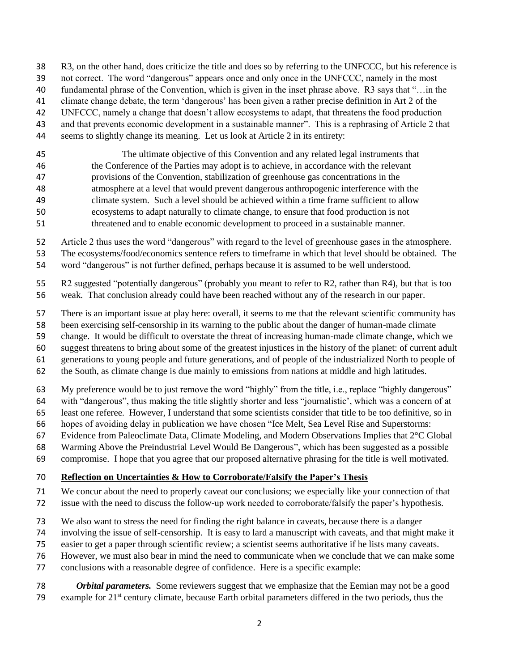R3, on the other hand, does criticize the title and does so by referring to the UNFCCC, but his reference is

not correct. The word "dangerous" appears once and only once in the UNFCCC, namely in the most

- fundamental phrase of the Convention, which is given in the inset phrase above. R3 says that "…in the
- climate change debate, the term 'dangerous' has been given a rather precise definition in Art 2 of the
- UNFCCC, namely a change that doesn't allow ecosystems to adapt, that threatens the food production
- and that prevents economic development in a sustainable manner". This is a rephrasing of Article 2 that
- seems to slightly change its meaning. Let us look at Article 2 in its entirety:
- The ultimate objective of this Convention and any related legal instruments that the Conference of the Parties may adopt is to achieve, in accordance with the relevant provisions of the Convention, stabilization of greenhouse gas concentrations in the atmosphere at a level that would prevent dangerous anthropogenic interference with the climate system. Such a level should be achieved within a time frame sufficient to allow ecosystems to adapt naturally to climate change, to ensure that food production is not threatened and to enable economic development to proceed in a sustainable manner.
- 

 Article 2 thus uses the word "dangerous" with regard to the level of greenhouse gases in the atmosphere. The ecosystems/food/economics sentence refers to timeframe in which that level should be obtained. The

word "dangerous" is not further defined, perhaps because it is assumed to be well understood.

 R2 suggested "potentially dangerous" (probably you meant to refer to R2, rather than R4), but that is too weak. That conclusion already could have been reached without any of the research in our paper.

There is an important issue at play here: overall, it seems to me that the relevant scientific community has

- been exercising self-censorship in its warning to the public about the danger of human-made climate
- change. It would be difficult to overstate the threat of increasing human-made climate change, which we
- suggest threatens to bring about some of the greatest injustices in the history of the planet: of current adult
- generations to young people and future generations, and of people of the industrialized North to people of
- the South, as climate change is due mainly to emissions from nations at middle and high latitudes.
- My preference would be to just remove the word "highly" from the title, i.e., replace "highly dangerous"
- with "dangerous", thus making the title slightly shorter and less "journalistic', which was a concern of at
- least one referee. However, I understand that some scientists consider that title to be too definitive, so in
- hopes of avoiding delay in publication we have chosen "Ice Melt, Sea Level Rise and Superstorms:
- Evidence from Paleoclimate Data, Climate Modeling, and Modern Observations Implies that 2°C Global
- Warming Above the Preindustrial Level Would Be Dangerous", which has been suggested as a possible
- compromise. I hope that you agree that our proposed alternative phrasing for the title is well motivated.

# **Reflection on Uncertainties & How to Corroborate/Falsify the Paper's Thesis**

- We concur about the need to properly caveat our conclusions; we especially like your connection of that
- issue with the need to discuss the follow-up work needed to corroborate/falsify the paper's hypothesis.
- We also want to stress the need for finding the right balance in caveats, because there is a danger
- involving the issue of self-censorship. It is easy to lard a manuscript with caveats, and that might make it
- easier to get a paper through scientific review; a scientist seems authoritative if he lists many caveats.
- However, we must also bear in mind the need to communicate when we conclude that we can make some
- conclusions with a reasonable degree of confidence. Here is a specific example:
- *Orbital parameters.* Some reviewers suggest that we emphasize that the Eemian may not be a good 79 example for  $21<sup>st</sup>$  century climate, because Earth orbital parameters differed in the two periods, thus the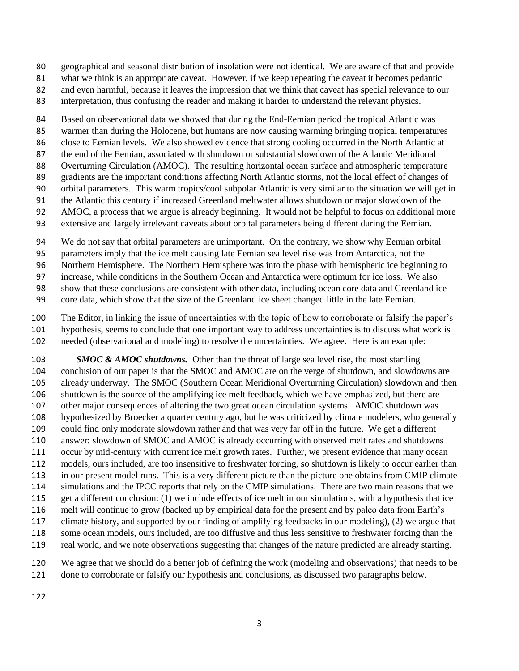- geographical and seasonal distribution of insolation were not identical. We are aware of that and provide
- what we think is an appropriate caveat. However, if we keep repeating the caveat it becomes pedantic
- and even harmful, because it leaves the impression that we think that caveat has special relevance to our
- interpretation, thus confusing the reader and making it harder to understand the relevant physics.

 Based on observational data we showed that during the End-Eemian period the tropical Atlantic was warmer than during the Holocene, but humans are now causing warming bringing tropical temperatures

- close to Eemian levels. We also showed evidence that strong cooling occurred in the North Atlantic at
- the end of the Eemian, associated with shutdown or substantial slowdown of the Atlantic Meridional
- Overturning Circulation (AMOC). The resulting horizontal ocean surface and atmospheric temperature
- gradients are the important conditions affecting North Atlantic storms, not the local effect of changes of
- orbital parameters. This warm tropics/cool subpolar Atlantic is very similar to the situation we will get in
- the Atlantic this century if increased Greenland meltwater allows shutdown or major slowdown of the
- AMOC, a process that we argue is already beginning. It would not be helpful to focus on additional more
- extensive and largely irrelevant caveats about orbital parameters being different during the Eemian.
- We do not say that orbital parameters are unimportant. On the contrary, we show why Eemian orbital
- parameters imply that the ice melt causing late Eemian sea level rise was from Antarctica, not the
- Northern Hemisphere. The Northern Hemisphere was into the phase with hemispheric ice beginning to
- increase, while conditions in the Southern Ocean and Antarctica were optimum for ice loss. We also
- show that these conclusions are consistent with other data, including ocean core data and Greenland ice
- core data, which show that the size of the Greenland ice sheet changed little in the late Eemian.
- The Editor, in linking the issue of uncertainties with the topic of how to corroborate or falsify the paper's hypothesis, seems to conclude that one important way to address uncertainties is to discuss what work is needed (observational and modeling) to resolve the uncertainties. We agree. Here is an example:
- *SMOC & AMOC shutdowns.* Other than the threat of large sea level rise, the most startling conclusion of our paper is that the SMOC and AMOC are on the verge of shutdown, and slowdowns are already underway. The SMOC (Southern Ocean Meridional Overturning Circulation) slowdown and then shutdown is the source of the amplifying ice melt feedback, which we have emphasized, but there are other major consequences of altering the two great ocean circulation systems. AMOC shutdown was hypothesized by Broecker a quarter century ago, but he was criticized by climate modelers, who generally could find only moderate slowdown rather and that was very far off in the future. We get a different answer: slowdown of SMOC and AMOC is already occurring with observed melt rates and shutdowns occur by mid-century with current ice melt growth rates. Further, we present evidence that many ocean models, ours included, are too insensitive to freshwater forcing, so shutdown is likely to occur earlier than in our present model runs. This is a very different picture than the picture one obtains from CMIP climate simulations and the IPCC reports that rely on the CMIP simulations. There are two main reasons that we get a different conclusion: (1) we include effects of ice melt in our simulations, with a hypothesis that ice melt will continue to grow (backed up by empirical data for the present and by paleo data from Earth's climate history, and supported by our finding of amplifying feedbacks in our modeling), (2) we argue that some ocean models, ours included, are too diffusive and thus less sensitive to freshwater forcing than the real world, and we note observations suggesting that changes of the nature predicted are already starting.
- We agree that we should do a better job of defining the work (modeling and observations) that needs to be done to corroborate or falsify our hypothesis and conclusions, as discussed two paragraphs below.
-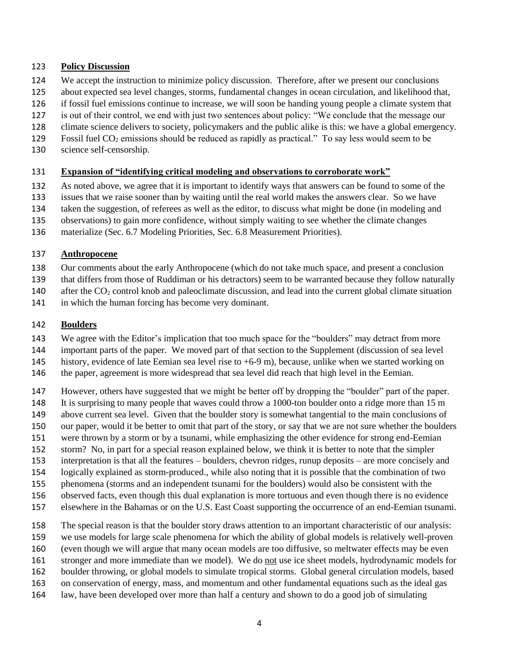#### **Policy Discussion**

- We accept the instruction to minimize policy discussion. Therefore, after we present our conclusions
- about expected sea level changes, storms, fundamental changes in ocean circulation, and likelihood that,
- if fossil fuel emissions continue to increase, we will soon be handing young people a climate system that
- is out of their control, we end with just two sentences about policy: "We conclude that the message our
- climate science delivers to society, policymakers and the public alike is this: we have a global emergency.
- 129 Fossil fuel  $CO_2$  emissions should be reduced as rapidly as practical." To say less would seem to be
- science self-censorship.

#### **Expansion of "identifying critical modeling and observations to corroborate work"**

As noted above, we agree that it is important to identify ways that answers can be found to some of the

issues that we raise sooner than by waiting until the real world makes the answers clear. So we have

- taken the suggestion, of referees as well as the editor, to discuss what might be done (in modeling and
- observations) to gain more confidence, without simply waiting to see whether the climate changes
- materialize (Sec. 6.7 Modeling Priorities, Sec. 6.8 Measurement Priorities).

#### **Anthropocene**

- Our comments about the early Anthropocene (which do not take much space, and present a conclusion
- that differs from those of Ruddiman or his detractors) seem to be warranted because they follow naturally
- 140 after the CO<sub>2</sub> control knob and paleoclimate discussion, and lead into the current global climate situation
- in which the human forcing has become very dominant.

### **Boulders**

We agree with the Editor's implication that too much space for the "boulders" may detract from more

- important parts of the paper. We moved part of that section to the Supplement (discussion of sea level 145 history, evidence of late Eemian sea level rise to  $+6-9$  m), because, unlike when we started working on
- 146 the paper, agreement is more widespread that sea level did reach that high level in the Eemian.
- However, others have suggested that we might be better off by dropping the "boulder" part of the paper.
- It is surprising to many people that waves could throw a 1000-ton boulder onto a ridge more than 15 m
- above current sea level. Given that the boulder story is somewhat tangential to the main conclusions of
- our paper, would it be better to omit that part of the story, or say that we are not sure whether the boulders
- were thrown by a storm or by a tsunami, while emphasizing the other evidence for strong end-Eemian
- storm? No, in part for a special reason explained below, we think it is better to note that the simpler
- interpretation is that all the features boulders, chevron ridges, runup deposits are more concisely and
- logically explained as storm-produced., while also noting that it is possible that the combination of two
- phenomena (storms and an independent tsunami for the boulders) would also be consistent with the
- observed facts, even though this dual explanation is more tortuous and even though there is no evidence
- elsewhere in the Bahamas or on the U.S. East Coast supporting the occurrence of an end-Eemian tsunami.
- The special reason is that the boulder story draws attention to an important characteristic of our analysis:
- we use models for large scale phenomena for which the ability of global models is relatively well-proven
- (even though we will argue that many ocean models are too diffusive, so meltwater effects may be even
- stronger and more immediate than we model). We do not use ice sheet models, hydrodynamic models for
- boulder throwing, or global models to simulate tropical storms. Global general circulation models, based
- on conservation of energy, mass, and momentum and other fundamental equations such as the ideal gas
- law, have been developed over more than half a century and shown to do a good job of simulating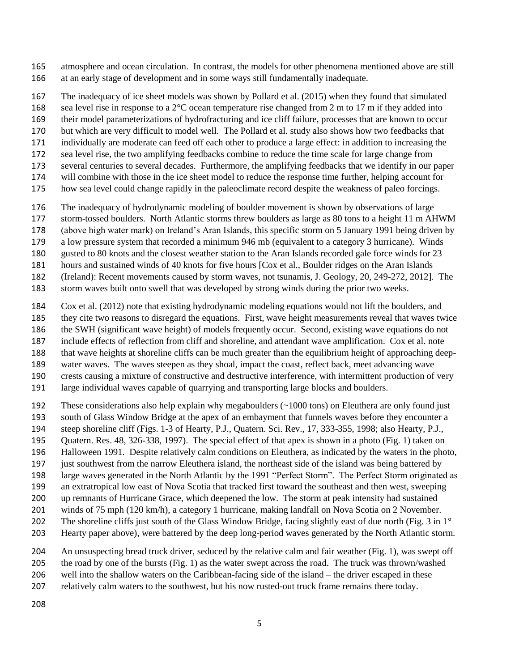atmosphere and ocean circulation. In contrast, the models for other phenomena mentioned above are still at an early stage of development and in some ways still fundamentally inadequate.

- The inadequacy of ice sheet models was shown by Pollard et al. (2015) when they found that simulated
- 168 sea level rise in response to a  $2^{\circ}$ C ocean temperature rise changed from 2 m to 17 m if they added into
- their model parameterizations of hydrofracturing and ice cliff failure, processes that are known to occur
- but which are very difficult to model well. The Pollard et al. study also shows how two feedbacks that
- individually are moderate can feed off each other to produce a large effect: in addition to increasing the
- sea level rise, the two amplifying feedbacks combine to reduce the time scale for large change from
- several centuries to several decades. Furthermore, the amplifying feedbacks that we identify in our paper
- will combine with those in the ice sheet model to reduce the response time further, helping account for
- how sea level could change rapidly in the paleoclimate record despite the weakness of paleo forcings.
- The inadequacy of hydrodynamic modeling of boulder movement is shown by observations of large
- storm-tossed boulders. North Atlantic storms threw boulders as large as 80 tons to a height 11 m AHWM
- (above high water mark) on Ireland's Aran Islands, this specific storm on 5 January 1991 being driven by
- a low pressure system that recorded a minimum 946 mb (equivalent to a category 3 hurricane). Winds
- gusted to 80 knots and the closest weather station to the Aran Islands recorded gale force winds for 23
- hours and sustained winds of 40 knots for five hours [Cox et al., Boulder ridges on the Aran Islands
- (Ireland): Recent movements caused by storm waves, not tsunamis, J. Geology, 20, 249-272, 2012]. The
- storm waves built onto swell that was developed by strong winds during the prior two weeks.
- Cox et al. (2012) note that existing hydrodynamic modeling equations would not lift the boulders, and
- they cite two reasons to disregard the equations. First, wave height measurements reveal that waves twice
- the SWH (significant wave height) of models frequently occur. Second, existing wave equations do not
- include effects of reflection from cliff and shoreline, and attendant wave amplification. Cox et al. note
- that wave heights at shoreline cliffs can be much greater than the equilibrium height of approaching deep-
- water waves. The waves steepen as they shoal, impact the coast, reflect back, meet advancing wave
- crests causing a mixture of constructive and destructive interference, with intermittent production of very
- large individual waves capable of quarrying and transporting large blocks and boulders.
- These considerations also help explain why megaboulders (~1000 tons) on Eleuthera are only found just
- south of Glass Window Bridge at the apex of an embayment that funnels waves before they encounter a
- steep shoreline cliff (Figs. 1-3 of Hearty, P.J., Quatern. Sci. Rev., 17, 333-355, 1998; also Hearty, P.J.,
- Quatern. Res. 48, 326-338, 1997). The special effect of that apex is shown in a photo (Fig. 1) taken on
- Halloween 1991. Despite relatively calm conditions on Eleuthera, as indicated by the waters in the photo,
- just southwest from the narrow Eleuthera island, the northeast side of the island was being battered by
- large waves generated in the North Atlantic by the 1991 "Perfect Storm". The Perfect Storm originated as
- an extratropical low east of Nova Scotia that tracked first toward the southeast and then west, sweeping
- up remnants of Hurricane Grace, which deepened the low. The storm at peak intensity had sustained
- winds of 75 mph (120 km/h), a category 1 hurricane, making landfall on Nova Scotia on 2 November.
- The shoreline cliffs just south of the Glass Window Bridge, facing slightly east of due north (Fig. 3 in  $1<sup>st</sup>$
- Hearty paper above), were battered by the deep long-period waves generated by the North Atlantic storm.
- An unsuspecting bread truck driver, seduced by the relative calm and fair weather (Fig. 1), was swept off
- the road by one of the bursts (Fig. 1) as the water swept across the road. The truck was thrown/washed
- well into the shallow waters on the Caribbean-facing side of the island the driver escaped in these
- relatively calm waters to the southwest, but his now rusted-out truck frame remains there today.
-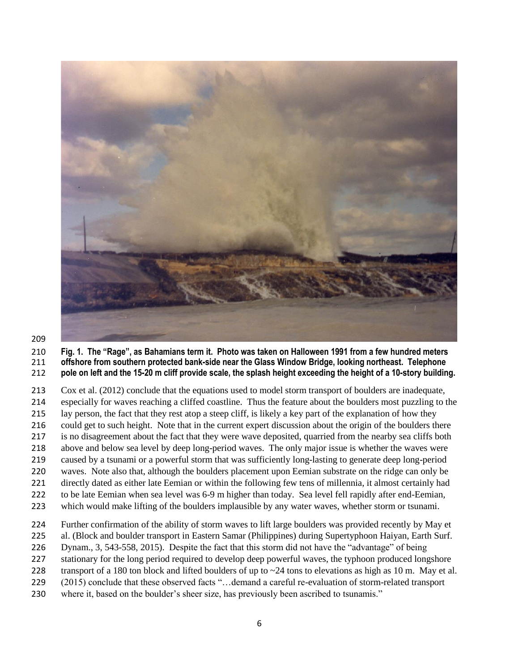

#### **Fig. 1. The "Rage", as Bahamians term it. Photo was taken on Halloween 1991 from a few hundred meters offshore from southern protected bank-side near the Glass Window Bridge, looking northeast. Telephone pole on left and the 15-20 m cliff provide scale, the splash height exceeding the height of a 10-story building.**

 Cox et al. (2012) conclude that the equations used to model storm transport of boulders are inadequate, especially for waves reaching a cliffed coastline. Thus the feature about the boulders most puzzling to the lay person, the fact that they rest atop a steep cliff, is likely a key part of the explanation of how they 216 could get to such height. Note that in the current expert discussion about the origin of the boulders there is no disagreement about the fact that they were wave deposited, quarried from the nearby sea cliffs both above and below sea level by deep long-period waves. The only major issue is whether the waves were caused by a tsunami or a powerful storm that was sufficiently long-lasting to generate deep long-period

- waves. Note also that, although the boulders placement upon Eemian substrate on the ridge can only be directly dated as either late Eemian or within the following few tens of millennia, it almost certainly had
- to be late Eemian when sea level was 6-9 m higher than today. Sea level fell rapidly after end-Eemian,
- which would make lifting of the boulders implausible by any water waves, whether storm or tsunami.
- Further confirmation of the ability of storm waves to lift large boulders was provided recently by May et
- al. (Block and boulder transport in Eastern Samar (Philippines) during Supertyphoon Haiyan, Earth Surf.
- Dynam., 3, 543-558, 2015). Despite the fact that this storm did not have the "advantage" of being
- 227 stationary for the long period required to develop deep powerful waves, the typhoon produced longshore
- 228 transport of a 180 ton block and lifted boulders of up to  $\sim$  24 tons to elevations as high as 10 m. May et al.
- (2015) conclude that these observed facts "…demand a careful re-evaluation of storm-related transport
- where it, based on the boulder's sheer size, has previously been ascribed to tsunamis."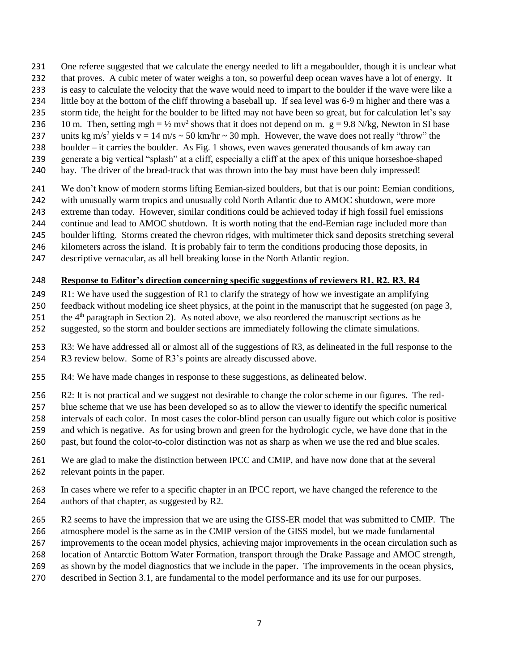- One referee suggested that we calculate the energy needed to lift a megaboulder, though it is unclear what
- that proves. A cubic meter of water weighs a ton, so powerful deep ocean waves have a lot of energy. It
- is easy to calculate the velocity that the wave would need to impart to the boulder if the wave were like a
- little boy at the bottom of the cliff throwing a baseball up. If sea level was 6-9 m higher and there was a
- storm tide, the height for the boulder to be lifted may not have been so great, but for calculation let's say
- 236 10 m. Then, setting mgh =  $\frac{1}{2}$  mv<sup>2</sup> shows that it does not depend on m. g = 9.8 N/kg, Newton in SI base 237 units kg m/s<sup>2</sup> yields v = 14 m/s  $\sim$  50 km/hr  $\sim$  30 mph. However, the wave does not really "throw" the
- boulder it carries the boulder. As Fig. 1 shows, even waves generated thousands of km away can
- generate a big vertical "splash" at a cliff, especially a cliff at the apex of this unique horseshoe-shaped
- bay. The driver of the bread-truck that was thrown into the bay must have been duly impressed!
- We don't know of modern storms lifting Eemian-sized boulders, but that is our point: Eemian conditions,
- 242 with unusually warm tropics and unusually cold North Atlantic due to AMOC shutdown, were more
- extreme than today. However, similar conditions could be achieved today if high fossil fuel emissions
- continue and lead to AMOC shutdown. It is worth noting that the end-Eemian rage included more than
- boulder lifting. Storms created the chevron ridges, with multimeter thick sand deposits stretching several
- kilometers across the island. It is probably fair to term the conditions producing those deposits, in
- descriptive vernacular, as all hell breaking loose in the North Atlantic region.

## **Response to Editor's direction concerning specific suggestions of reviewers R1, R2, R3, R4**

- R1: We have used the suggestion of R1 to clarify the strategy of how we investigate an amplifying
- feedback without modeling ice sheet physics, at the point in the manuscript that he suggested (on page 3,
- 251 the  $4<sup>th</sup>$  paragraph in Section 2). As noted above, we also reordered the manuscript sections as he
- suggested, so the storm and boulder sections are immediately following the climate simulations.
- R3: We have addressed all or almost all of the suggestions of R3, as delineated in the full response to the
- R3 review below. Some of R3's points are already discussed above.
- R4: We have made changes in response to these suggestions, as delineated below.
- R2: It is not practical and we suggest not desirable to change the color scheme in our figures. The red-
- blue scheme that we use has been developed so as to allow the viewer to identify the specific numerical
- intervals of each color. In most cases the color-blind person can usually figure out which color is positive
- and which is negative. As for using brown and green for the hydrologic cycle, we have done that in the
- past, but found the color-to-color distinction was not as sharp as when we use the red and blue scales.
- We are glad to make the distinction between IPCC and CMIP, and have now done that at the several relevant points in the paper.
- In cases where we refer to a specific chapter in an IPCC report, we have changed the reference to the authors of that chapter, as suggested by R2.
- R2 seems to have the impression that we are using the GISS-ER model that was submitted to CMIP. The
- atmosphere model is the same as in the CMIP version of the GISS model, but we made fundamental
- improvements to the ocean model physics, achieving major improvements in the ocean circulation such as
- location of Antarctic Bottom Water Formation, transport through the Drake Passage and AMOC strength,
- as shown by the model diagnostics that we include in the paper. The improvements in the ocean physics,
- described in Section 3.1, are fundamental to the model performance and its use for our purposes.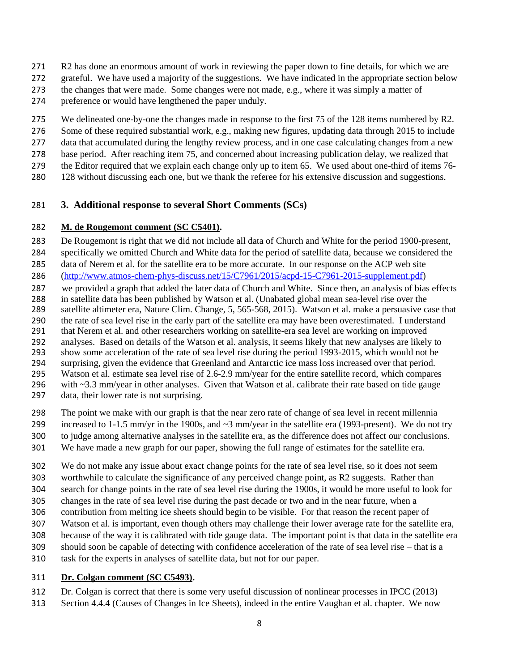- 271 R2 has done an enormous amount of work in reviewing the paper down to fine details, for which we are
- grateful. We have used a majority of the suggestions. We have indicated in the appropriate section below
- 273 the changes that were made. Some changes were not made, e.g., where it was simply a matter of
- preference or would have lengthened the paper unduly.
- 275 We delineated one-by-one the changes made in response to the first 75 of the 128 items numbered by R2.
- Some of these required substantial work, e.g., making new figures, updating data through 2015 to include
- data that accumulated during the lengthy review process, and in one case calculating changes from a new
- base period. After reaching item 75, and concerned about increasing publication delay, we realized that the Editor required that we explain each change only up to item 65. We used about one-third of items 76-
- 128 without discussing each one, but we thank the referee for his extensive discussion and suggestions.

### **3. Additional response to several Short Comments (SCs)**

#### **M. de Rougemont comment (SC C5401).**

 De Rougemont is right that we did not include all data of Church and White for the period 1900-present, specifically we omitted Church and White data for the period of satellite data, because we considered the

- data of Nerem et al. for the satellite era to be more accurate. In our response on the ACP web site
- [\(http://www.atmos-chem-phys-discuss.net/15/C7961/2015/acpd-15-C7961-2015-supplement.pdf\)](http://www.atmos-chem-phys-discuss.net/15/C7961/2015/acpd-15-C7961-2015-supplement.pdf)
- we provided a graph that added the later data of Church and White. Since then, an analysis of bias effects
- in satellite data has been published by Watson et al. (Unabated global mean sea-level rise over the
- satellite altimeter era, Nature Clim. Change, 5, 565-568, 2015). Watson et al. make a persuasive case that the rate of sea level rise in the early part of the satellite era may have been overestimated. I understand
- that Nerem et al. and other researchers working on satellite-era sea level are working on improved
- analyses. Based on details of the Watson et al. analysis, it seems likely that new analyses are likely to
- show some acceleration of the rate of sea level rise during the period 1993-2015, which would not be
- surprising, given the evidence that Greenland and Antarctic ice mass loss increased over that period.
- Watson et al. estimate sea level rise of 2.6-2.9 mm/year for the entire satellite record, which compares
- 296 with ~3.3 mm/year in other analyses. Given that Watson et al. calibrate their rate based on tide gauge
- data, their lower rate is not surprising.
- The point we make with our graph is that the near zero rate of change of sea level in recent millennia
- 299 increased to 1-1.5 mm/yr in the 1900s, and  $\sim$ 3 mm/year in the satellite era (1993-present). We do not try
- to judge among alternative analyses in the satellite era, as the difference does not affect our conclusions.
- We have made a new graph for our paper, showing the full range of estimates for the satellite era.
- We do not make any issue about exact change points for the rate of sea level rise, so it does not seem
- worthwhile to calculate the significance of any perceived change point, as R2 suggests. Rather than
- search for change points in the rate of sea level rise during the 1900s, it would be more useful to look for
- changes in the rate of sea level rise during the past decade or two and in the near future, when a
- contribution from melting ice sheets should begin to be visible. For that reason the recent paper of
- Watson et al. is important, even though others may challenge their lower average rate for the satellite era,
- because of the way it is calibrated with tide gauge data. The important point is that data in the satellite era
- should soon be capable of detecting with confidence acceleration of the rate of sea level rise that is a
- task for the experts in analyses of satellite data, but not for our paper.

### **Dr. Colgan comment (SC C5493).**

- Dr. Colgan is correct that there is some very useful discussion of nonlinear processes in IPCC (2013)
- Section 4.4.4 (Causes of Changes in Ice Sheets), indeed in the entire Vaughan et al. chapter. We now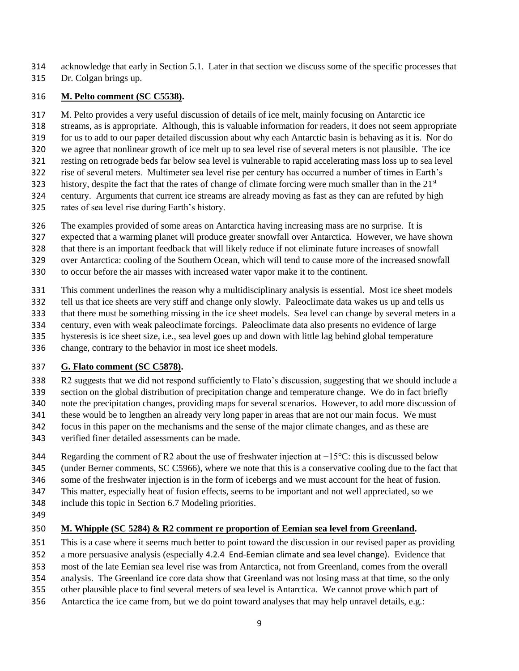acknowledge that early in Section 5.1. Later in that section we discuss some of the specific processes that

Dr. Colgan brings up.

#### **M. Pelto comment (SC C5538).**

M. Pelto provides a very useful discussion of details of ice melt, mainly focusing on Antarctic ice

streams, as is appropriate. Although, this is valuable information for readers, it does not seem appropriate

for us to add to our paper detailed discussion about why each Antarctic basin is behaving as it is. Nor do

- we agree that nonlinear growth of ice melt up to sea level rise of several meters is not plausible. The ice
- resting on retrograde beds far below sea level is vulnerable to rapid accelerating mass loss up to sea level
- rise of several meters. Multimeter sea level rise per century has occurred a number of times in Earth's
- history, despite the fact that the rates of change of climate forcing were much smaller than in the  $21<sup>st</sup>$
- century. Arguments that current ice streams are already moving as fast as they can are refuted by high rates of sea level rise during Earth's history.
- 
- The examples provided of some areas on Antarctica having increasing mass are no surprise. It is
- expected that a warming planet will produce greater snowfall over Antarctica. However, we have shown
- that there is an important feedback that will likely reduce if not eliminate future increases of snowfall
- over Antarctica: cooling of the Southern Ocean, which will tend to cause more of the increased snowfall
- to occur before the air masses with increased water vapor make it to the continent.
- This comment underlines the reason why a multidisciplinary analysis is essential. Most ice sheet models
- tell us that ice sheets are very stiff and change only slowly. Paleoclimate data wakes us up and tells us
- that there must be something missing in the ice sheet models. Sea level can change by several meters in a
- century, even with weak paleoclimate forcings. Paleoclimate data also presents no evidence of large
- hysteresis is ice sheet size, i.e., sea level goes up and down with little lag behind global temperature
- change, contrary to the behavior in most ice sheet models.

# **G. Flato comment (SC C5878).**

- R2 suggests that we did not respond sufficiently to Flato's discussion, suggesting that we should include a
- section on the global distribution of precipitation change and temperature change. We do in fact briefly
- note the precipitation changes, providing maps for several scenarios. However, to add more discussion of
- these would be to lengthen an already very long paper in areas that are not our main focus. We must
- focus in this paper on the mechanisms and the sense of the major climate changes, and as these are
- verified finer detailed assessments can be made.
- Regarding the comment of R2 about the use of freshwater injection at −15°C: this is discussed below
- (under Berner comments, SC C5966), where we note that this is a conservative cooling due to the fact that
- some of the freshwater injection is in the form of icebergs and we must account for the heat of fusion.
- This matter, especially heat of fusion effects, seems to be important and not well appreciated, so we
- include this topic in Section 6.7 Modeling priorities.
- 

# **M. Whipple (SC 5284) & R2 comment re proportion of Eemian sea level from Greenland.**

- This is a case where it seems much better to point toward the discussion in our revised paper as providing
- a more persuasive analysis (especially 4.2.4 End-Eemian climate and sea level change). Evidence that
- most of the late Eemian sea level rise was from Antarctica, not from Greenland, comes from the overall
- analysis. The Greenland ice core data show that Greenland was not losing mass at that time, so the only
- other plausible place to find several meters of sea level is Antarctica. We cannot prove which part of
- Antarctica the ice came from, but we do point toward analyses that may help unravel details, e.g.: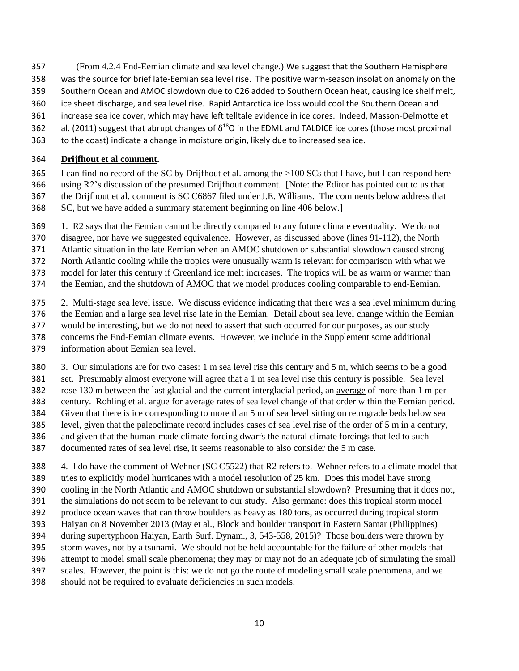- (From 4.2.4 End-Eemian climate and sea level change.) We suggest that the Southern Hemisphere
- was the source for brief late-Eemian sea level rise. The positive warm-season insolation anomaly on the
- Southern Ocean and AMOC slowdown due to C26 added to Southern Ocean heat, causing ice shelf melt,
- ice sheet discharge, and sea level rise. Rapid Antarctica ice loss would cool the Southern Ocean and
- increase sea ice cover, which may have left telltale evidence in ice cores. Indeed, Masson-Delmotte et
- 362 al. (2011) suggest that abrupt changes of  $\delta^{18}O$  in the EDML and TALDICE ice cores (those most proximal
- to the coast) indicate a change in moisture origin, likely due to increased sea ice.

### **Drijfhout et al comment.**

- I can find no record of the SC by Drijfhout et al. among the >100 SCs that I have, but I can respond here using R2's discussion of the presumed Drijfhout comment. [Note: the Editor has pointed out to us that the Drijfhout et al. comment is SC C6867 filed under J.E. Williams. The comments below address that SC, but we have added a summary statement beginning on line 406 below.]
- 1. R2 says that the Eemian cannot be directly compared to any future climate eventuality. We do not
- disagree, nor have we suggested equivalence. However, as discussed above (lines 91-112), the North
- Atlantic situation in the late Eemian when an AMOC shutdown or substantial slowdown caused strong
- North Atlantic cooling while the tropics were unusually warm is relevant for comparison with what we
- model for later this century if Greenland ice melt increases. The tropics will be as warm or warmer than
- the Eemian, and the shutdown of AMOC that we model produces cooling comparable to end-Eemian.
- 2. Multi-stage sea level issue. We discuss evidence indicating that there was a sea level minimum during the Eemian and a large sea level rise late in the Eemian. Detail about sea level change within the Eemian
- would be interesting, but we do not need to assert that such occurred for our purposes, as our study
- concerns the End-Eemian climate events. However, we include in the Supplement some additional
- information about Eemian sea level.
- 3. Our simulations are for two cases: 1 m sea level rise this century and 5 m, which seems to be a good
- set. Presumably almost everyone will agree that a 1 m sea level rise this century is possible. Sea level
- rose 130 m between the last glacial and the current interglacial period, an average of more than 1 m per
- century. Rohling et al. argue for average rates of sea level change of that order within the Eemian period.
- Given that there is ice corresponding to more than 5 m of sea level sitting on retrograde beds below sea
- level, given that the paleoclimate record includes cases of sea level rise of the order of 5 m in a century,
- and given that the human-made climate forcing dwarfs the natural climate forcings that led to such
- documented rates of sea level rise, it seems reasonable to also consider the 5 m case.
- 4. I do have the comment of Wehner (SC C5522) that R2 refers to. Wehner refers to a climate model that tries to explicitly model hurricanes with a model resolution of 25 km. Does this model have strong cooling in the North Atlantic and AMOC shutdown or substantial slowdown? Presuming that it does not, the simulations do not seem to be relevant to our study. Also germane: does this tropical storm model produce ocean waves that can throw boulders as heavy as 180 tons, as occurred during tropical storm Haiyan on 8 November 2013 (May et al., Block and boulder transport in Eastern Samar (Philippines) during supertyphoon Haiyan, Earth Surf. Dynam., 3, 543-558, 2015)? Those boulders were thrown by storm waves, not by a tsunami. We should not be held accountable for the failure of other models that attempt to model small scale phenomena; they may or may not do an adequate job of simulating the small scales. However, the point is this: we do not go the route of modeling small scale phenomena, and we
- should not be required to evaluate deficiencies in such models.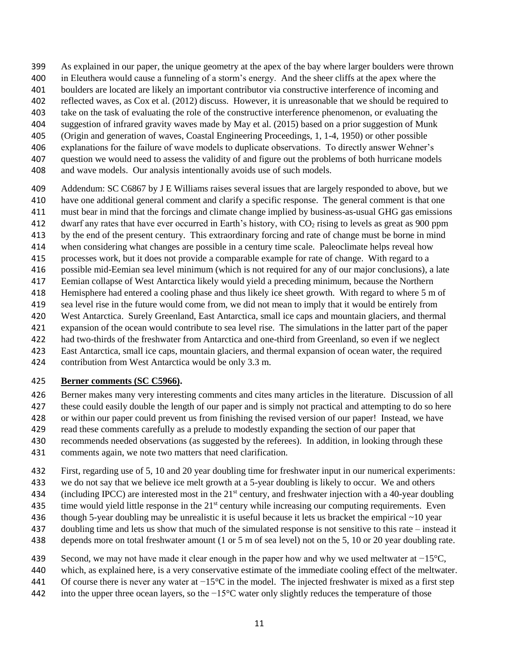- As explained in our paper, the unique geometry at the apex of the bay where larger boulders were thrown
- in Eleuthera would cause a funneling of a storm's energy. And the sheer cliffs at the apex where the
- boulders are located are likely an important contributor via constructive interference of incoming and
- reflected waves, as Cox et al. (2012) discuss. However, it is unreasonable that we should be required to
- take on the task of evaluating the role of the constructive interference phenomenon, or evaluating the
- suggestion of infrared gravity waves made by May et al. (2015) based on a prior suggestion of Munk
- (Origin and generation of waves, Coastal Engineering Proceedings, 1, 1-4, 1950) or other possible
- explanations for the failure of wave models to duplicate observations. To directly answer Wehner's question we would need to assess the validity of and figure out the problems of both hurricane models
- and wave models. Our analysis intentionally avoids use of such models.
- Addendum: SC C6867 by J E Williams raises several issues that are largely responded to above, but we
- have one additional general comment and clarify a specific response. The general comment is that one
- must bear in mind that the forcings and climate change implied by business-as-usual GHG gas emissions
- 412 dwarf any rates that have ever occurred in Earth's history, with  $CO<sub>2</sub>$  rising to levels as great as 900 ppm
- by the end of the present century. This extraordinary forcing and rate of change must be borne in mind
- when considering what changes are possible in a century time scale. Paleoclimate helps reveal how
- processes work, but it does not provide a comparable example for rate of change. With regard to a
- possible mid-Eemian sea level minimum (which is not required for any of our major conclusions), a late Eemian collapse of West Antarctica likely would yield a preceding minimum, because the Northern
- Hemisphere had entered a cooling phase and thus likely ice sheet growth. With regard to where 5 m of
- sea level rise in the future would come from, we did not mean to imply that it would be entirely from
- West Antarctica. Surely Greenland, East Antarctica, small ice caps and mountain glaciers, and thermal
- expansion of the ocean would contribute to sea level rise. The simulations in the latter part of the paper
- had two-thirds of the freshwater from Antarctica and one-third from Greenland, so even if we neglect
- East Antarctica, small ice caps, mountain glaciers, and thermal expansion of ocean water, the required
- contribution from West Antarctica would be only 3.3 m.

### **Berner comments (SC C5966).**

- Berner makes many very interesting comments and cites many articles in the literature. Discussion of all these could easily double the length of our paper and is simply not practical and attempting to do so here
- or within our paper could prevent us from finishing the revised version of our paper! Instead, we have
- read these comments carefully as a prelude to modestly expanding the section of our paper that
- recommends needed observations (as suggested by the referees). In addition, in looking through these
- comments again, we note two matters that need clarification.
- First, regarding use of 5, 10 and 20 year doubling time for freshwater input in our numerical experiments:
- we do not say that we believe ice melt growth at a 5-year doubling is likely to occur. We and others
- 434 (including IPCC) are interested most in the 21<sup>st</sup> century, and freshwater injection with a 40-year doubling
- 435 time would yield little response in the  $21<sup>st</sup>$  century while increasing our computing requirements. Even
- though 5-year doubling may be unrealistic it is useful because it lets us bracket the empirical ~10 year
- doubling time and lets us show that much of the simulated response is not sensitive to this rate instead it
- depends more on total freshwater amount (1 or 5 m of sea level) not on the 5, 10 or 20 year doubling rate.
- 439 Second, we may not have made it clear enough in the paper how and why we used meltwater at  $-15^{\circ}$ C,
- which, as explained here, is a very conservative estimate of the immediate cooling effect of the meltwater.
- Of course there is never any water at −15°C in the model. The injected freshwater is mixed as a first step
- into the upper three ocean layers, so the −15°C water only slightly reduces the temperature of those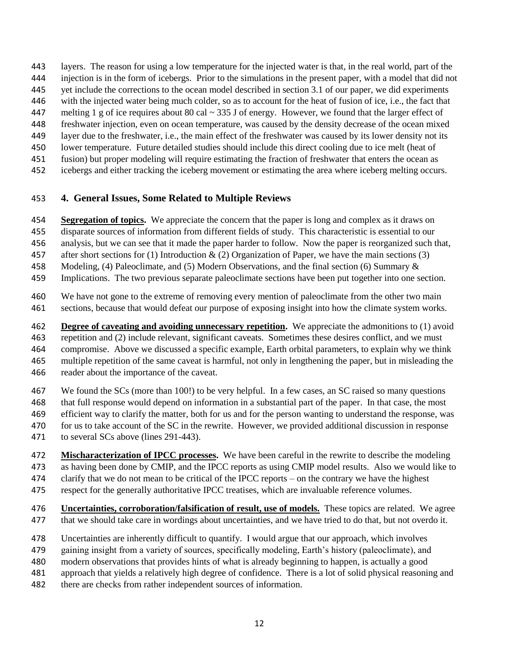- layers. The reason for using a low temperature for the injected water is that, in the real world, part of the
- injection is in the form of icebergs. Prior to the simulations in the present paper, with a model that did not
- yet include the corrections to the ocean model described in section 3.1 of our paper, we did experiments
- with the injected water being much colder, so as to account for the heat of fusion of ice, i.e., the fact that
- 447 melting 1 g of ice requires about 80 cal  $\sim$  335 J of energy. However, we found that the larger effect of
- freshwater injection, even on ocean temperature, was caused by the density decrease of the ocean mixed
- layer due to the freshwater, i.e., the main effect of the freshwater was caused by its lower density not its
- lower temperature. Future detailed studies should include this direct cooling due to ice melt (heat of
- fusion) but proper modeling will require estimating the fraction of freshwater that enters the ocean as
- icebergs and either tracking the iceberg movement or estimating the area where iceberg melting occurs.

## **4. General Issues, Some Related to Multiple Reviews**

- **Segregation of topics.** We appreciate the concern that the paper is long and complex as it draws on
- disparate sources of information from different fields of study. This characteristic is essential to our
- analysis, but we can see that it made the paper harder to follow. Now the paper is reorganized such that,
- 457 after short sections for (1) Introduction  $\&$  (2) Organization of Paper, we have the main sections (3)
- Modeling, (4) Paleoclimate, and (5) Modern Observations, and the final section (6) Summary &
- Implications. The two previous separate paleoclimate sections have been put together into one section.
- We have not gone to the extreme of removing every mention of paleoclimate from the other two main sections, because that would defeat our purpose of exposing insight into how the climate system works.
- **Degree of caveating and avoiding unnecessary repetition.** We appreciate the admonitions to (1) avoid repetition and (2) include relevant, significant caveats. Sometimes these desires conflict, and we must compromise. Above we discussed a specific example, Earth orbital parameters, to explain why we think multiple repetition of the same caveat is harmful, not only in lengthening the paper, but in misleading the reader about the importance of the caveat.
- We found the SCs (more than 100!) to be very helpful. In a few cases, an SC raised so many questions that full response would depend on information in a substantial part of the paper. In that case, the most efficient way to clarify the matter, both for us and for the person wanting to understand the response, was 470 for us to take account of the SC in the rewrite. However, we provided additional discussion in response
- to several SCs above (lines 291-443).
- **Mischaracterization of IPCC processes.** We have been careful in the rewrite to describe the modeling as having been done by CMIP, and the IPCC reports as using CMIP model results. Also we would like to clarify that we do not mean to be critical of the IPCC reports – on the contrary we have the highest respect for the generally authoritative IPCC treatises, which are invaluable reference volumes.
- **Uncertainties, corroboration/falsification of result, use of models.** These topics are related. We agree that we should take care in wordings about uncertainties, and we have tried to do that, but not overdo it.
- Uncertainties are inherently difficult to quantify. I would argue that our approach, which involves
- gaining insight from a variety of sources, specifically modeling, Earth's history (paleoclimate), and
- modern observations that provides hints of what is already beginning to happen, is actually a good
- approach that yields a relatively high degree of confidence. There is a lot of solid physical reasoning and
- there are checks from rather independent sources of information.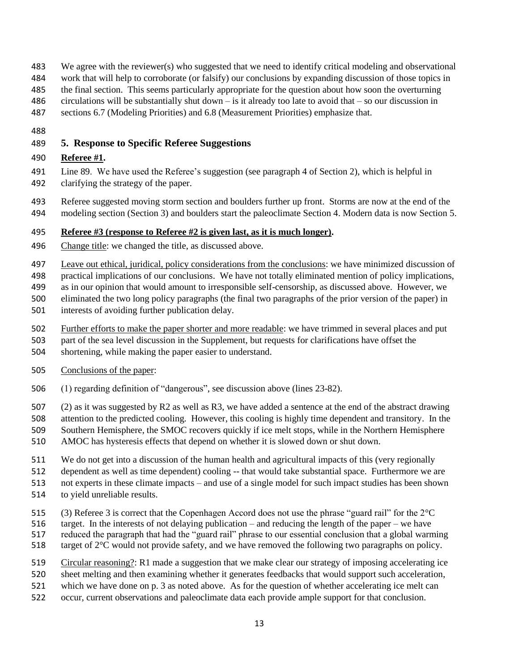- We agree with the reviewer(s) who suggested that we need to identify critical modeling and observational
- work that will help to corroborate (or falsify) our conclusions by expanding discussion of those topics in
- the final section. This seems particularly appropriate for the question about how soon the overturning
- circulations will be substantially shut down is it already too late to avoid that so our discussion in
- sections 6.7 (Modeling Priorities) and 6.8 (Measurement Priorities) emphasize that.
- 

# **5. Response to Specific Referee Suggestions**

## **Referee #1.**

- Line 89. We have used the Referee's suggestion (see paragraph 4 of Section 2), which is helpful in clarifying the strategy of the paper.
- Referee suggested moving storm section and boulders further up front. Storms are now at the end of the
- modeling section (Section 3) and boulders start the paleoclimate Section 4. Modern data is now Section 5.

# **Referee #3 (response to Referee #2 is given last, as it is much longer).**

- Change title: we changed the title, as discussed above.
- 497 Leave out ethical, juridical, policy considerations from the conclusions: we have minimized discussion of
- practical implications of our conclusions. We have not totally eliminated mention of policy implications,
- as in our opinion that would amount to irresponsible self-censorship, as discussed above. However, we
- eliminated the two long policy paragraphs (the final two paragraphs of the prior version of the paper) in
- interests of avoiding further publication delay.
- Further efforts to make the paper shorter and more readable: we have trimmed in several places and put
- part of the sea level discussion in the Supplement, but requests for clarifications have offset the
- shortening, while making the paper easier to understand.
- Conclusions of the paper:
- (1) regarding definition of "dangerous", see discussion above (lines 23-82).
- (2) as it was suggested by R2 as well as R3, we have added a sentence at the end of the abstract drawing
- attention to the predicted cooling. However, this cooling is highly time dependent and transitory. In the
- Southern Hemisphere, the SMOC recovers quickly if ice melt stops, while in the Northern Hemisphere
- AMOC has hysteresis effects that depend on whether it is slowed down or shut down.
- We do not get into a discussion of the human health and agricultural impacts of this (very regionally
- dependent as well as time dependent) cooling -- that would take substantial space. Furthermore we are
- not experts in these climate impacts and use of a single model for such impact studies has been shown
- to yield unreliable results.
- (3) Referee 3 is correct that the Copenhagen Accord does not use the phrase "guard rail" for the 2°C
- target. In the interests of not delaying publication and reducing the length of the paper we have
- reduced the paragraph that had the "guard rail" phrase to our essential conclusion that a global warming
- 518 target of 2°C would not provide safety, and we have removed the following two paragraphs on policy.
- Circular reasoning?: R1 made a suggestion that we make clear our strategy of imposing accelerating ice
- sheet melting and then examining whether it generates feedbacks that would support such acceleration,
- which we have done on p. 3 as noted above. As for the question of whether accelerating ice melt can
- occur, current observations and paleoclimate data each provide ample support for that conclusion.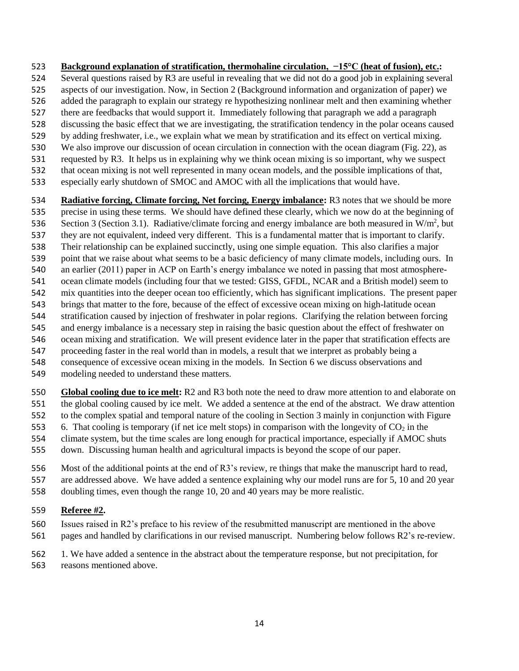- **Background explanation of stratification, thermohaline circulation, −15°C (heat of fusion), etc.:**
- Several questions raised by R3 are useful in revealing that we did not do a good job in explaining several
- aspects of our investigation. Now, in Section 2 (Background information and organization of paper) we
- added the paragraph to explain our strategy re hypothesizing nonlinear melt and then examining whether
- there are feedbacks that would support it. Immediately following that paragraph we add a paragraph
- discussing the basic effect that we are investigating, the stratification tendency in the polar oceans caused
- by adding freshwater, i.e., we explain what we mean by stratification and its effect on vertical mixing.
- We also improve our discussion of ocean circulation in connection with the ocean diagram (Fig. 22), as requested by R3. It helps us in explaining why we think ocean mixing is so important, why we suspect
- that ocean mixing is not well represented in many ocean models, and the possible implications of that,
- especially early shutdown of SMOC and AMOC with all the implications that would have.
- **Radiative forcing, Climate forcing, Net forcing, Energy imbalance:** R3 notes that we should be more precise in using these terms. We should have defined these clearly, which we now do at the beginning of Section 3 (Section 3.1). Radiative/climate forcing and energy imbalance are both measured in W/m<sup>2</sup>, but they are not equivalent, indeed very different. This is a fundamental matter that is important to clarify. Their relationship can be explained succinctly, using one simple equation. This also clarifies a major point that we raise about what seems to be a basic deficiency of many climate models, including ours. In an earlier (2011) paper in ACP on Earth's energy imbalance we noted in passing that most atmosphere- ocean climate models (including four that we tested: GISS, GFDL, NCAR and a British model) seem to mix quantities into the deeper ocean too efficiently, which has significant implications. The present paper brings that matter to the fore, because of the effect of excessive ocean mixing on high-latitude ocean stratification caused by injection of freshwater in polar regions. Clarifying the relation between forcing and energy imbalance is a necessary step in raising the basic question about the effect of freshwater on ocean mixing and stratification. We will present evidence later in the paper that stratification effects are
- proceeding faster in the real world than in models, a result that we interpret as probably being a
- consequence of excessive ocean mixing in the models. In Section 6 we discuss observations and
- modeling needed to understand these matters.
- **Global cooling due to ice melt:** R2 and R3 both note the need to draw more attention to and elaborate on the global cooling caused by ice melt. We added a sentence at the end of the abstract. We draw attention
- to the complex spatial and temporal nature of the cooling in Section 3 mainly in conjunction with Figure
- 553 6. That cooling is temporary (if net ice melt stops) in comparison with the longevity of  $CO<sub>2</sub>$  in the
- climate system, but the time scales are long enough for practical importance, especially if AMOC shuts
- down. Discussing human health and agricultural impacts is beyond the scope of our paper.
- Most of the additional points at the end of R3's review, re things that make the manuscript hard to read,
- are addressed above. We have added a sentence explaining why our model runs are for 5, 10 and 20 year
- doubling times, even though the range 10, 20 and 40 years may be more realistic.

### **Referee #2.**

 Issues raised in R2's preface to his review of the resubmitted manuscript are mentioned in the above pages and handled by clarifications in our revised manuscript. Numbering below follows R2's re-review.

1. We have added a sentence in the abstract about the temperature response, but not precipitation, for

reasons mentioned above.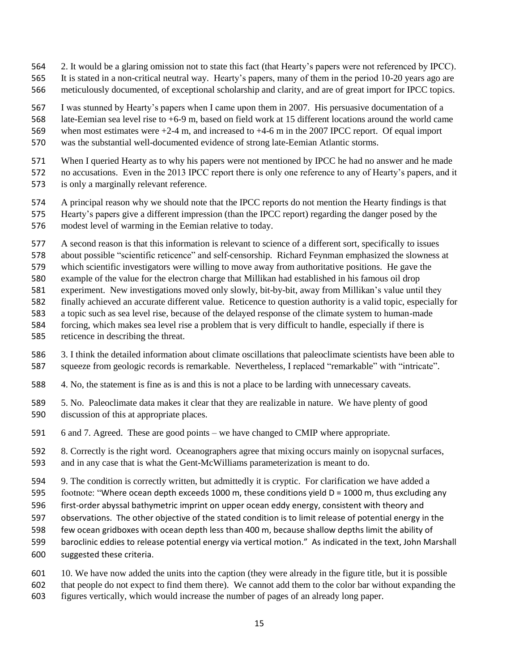- 2. It would be a glaring omission not to state this fact (that Hearty's papers were not referenced by IPCC).
- It is stated in a non-critical neutral way. Hearty's papers, many of them in the period 10-20 years ago are
- meticulously documented, of exceptional scholarship and clarity, and are of great import for IPCC topics.

I was stunned by Hearty's papers when I came upon them in 2007. His persuasive documentation of a

 late-Eemian sea level rise to +6-9 m, based on field work at 15 different locations around the world came when most estimates were +2-4 m, and increased to +4-6 m in the 2007 IPCC report. Of equal import

- was the substantial well-documented evidence of strong late-Eemian Atlantic storms.
- When I queried Hearty as to why his papers were not mentioned by IPCC he had no answer and he made no accusations. Even in the 2013 IPCC report there is only one reference to any of Hearty's papers, and it is only a marginally relevant reference.
- A principal reason why we should note that the IPCC reports do not mention the Hearty findings is that Hearty's papers give a different impression (than the IPCC report) regarding the danger posed by the modest level of warming in the Eemian relative to today.
- A second reason is that this information is relevant to science of a different sort, specifically to issues
- about possible "scientific reticence" and self-censorship. Richard Feynman emphasized the slowness at
- which scientific investigators were willing to move away from authoritative positions. He gave the
- example of the value for the electron charge that Millikan had established in his famous oil drop
- experiment. New investigations moved only slowly, bit-by-bit, away from Millikan's value until they
- finally achieved an accurate different value. Reticence to question authority is a valid topic, especially for
- a topic such as sea level rise, because of the delayed response of the climate system to human-made
- forcing, which makes sea level rise a problem that is very difficult to handle, especially if there is
- reticence in describing the threat.
- 3. I think the detailed information about climate oscillations that paleoclimate scientists have been able to squeeze from geologic records is remarkable. Nevertheless, I replaced "remarkable" with "intricate".
- 4. No, the statement is fine as is and this is not a place to be larding with unnecessary caveats.
- 5. No. Paleoclimate data makes it clear that they are realizable in nature. We have plenty of good discussion of this at appropriate places.
- 6 and 7. Agreed. These are good points we have changed to CMIP where appropriate.
- 8. Correctly is the right word. Oceanographers agree that mixing occurs mainly on isopycnal surfaces, and in any case that is what the Gent-McWilliams parameterization is meant to do.
- 9. The condition is correctly written, but admittedly it is cryptic. For clarification we have added a
- footnote: "Where ocean depth exceeds 1000 m, these conditions yield D = 1000 m, thus excluding any
- first-order abyssal bathymetric imprint on upper ocean eddy energy, consistent with theory and
- observations. The other objective of the stated condition is to limit release of potential energy in the
- few ocean gridboxes with ocean depth less than 400 m, because shallow depths limit the ability of
- baroclinic eddies to release potential energy via vertical motion." As indicated in the text, John Marshall
- suggested these criteria.
- 10. We have now added the units into the caption (they were already in the figure title, but it is possible
- that people do not expect to find them there). We cannot add them to the color bar without expanding the
- figures vertically, which would increase the number of pages of an already long paper.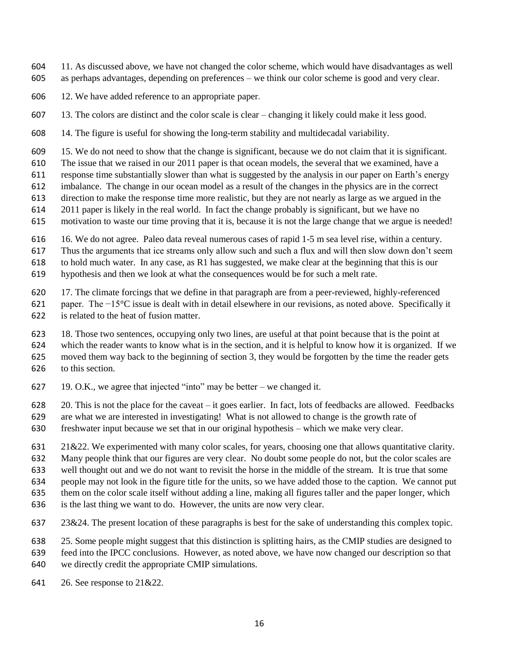- 11. As discussed above, we have not changed the color scheme, which would have disadvantages as well as perhaps advantages, depending on preferences – we think our color scheme is good and very clear.
- 12. We have added reference to an appropriate paper.
- 13. The colors are distinct and the color scale is clear changing it likely could make it less good.
- 14. The figure is useful for showing the long-term stability and multidecadal variability.
- 15. We do not need to show that the change is significant, because we do not claim that it is significant.
- The issue that we raised in our 2011 paper is that ocean models, the several that we examined, have a
- response time substantially slower than what is suggested by the analysis in our paper on Earth's energy
- imbalance. The change in our ocean model as a result of the changes in the physics are in the correct
- direction to make the response time more realistic, but they are not nearly as large as we argued in the
- 2011 paper is likely in the real world. In fact the change probably is significant, but we have no motivation to waste our time proving that it is, because it is not the large change that we argue is needed!
- 
- 16. We do not agree. Paleo data reveal numerous cases of rapid 1-5 m sea level rise, within a century.
- Thus the arguments that ice streams only allow such and such a flux and will then slow down don't seem
- to hold much water. In any case, as R1 has suggested, we make clear at the beginning that this is our
- hypothesis and then we look at what the consequences would be for such a melt rate.
- 17. The climate forcings that we define in that paragraph are from a peer-reviewed, highly-referenced
- paper. The −15°C issue is dealt with in detail elsewhere in our revisions, as noted above. Specifically it is related to the heat of fusion matter.
- 18. Those two sentences, occupying only two lines, are useful at that point because that is the point at
- which the reader wants to know what is in the section, and it is helpful to know how it is organized. If we
- moved them way back to the beginning of section 3, they would be forgotten by the time the reader gets
- to this section.
- 19. O.K., we agree that injected "into" may be better we changed it.
- 20. This is not the place for the caveat it goes earlier. In fact, lots of feedbacks are allowed. Feedbacks
- are what we are interested in investigating! What is not allowed to change is the growth rate of
- freshwater input because we set that in our original hypothesis which we make very clear.
- 21&22. We experimented with many color scales, for years, choosing one that allows quantitative clarity.
- Many people think that our figures are very clear. No doubt some people do not, but the color scales are
- well thought out and we do not want to revisit the horse in the middle of the stream. It is true that some
- people may not look in the figure title for the units, so we have added those to the caption. We cannot put
- them on the color scale itself without adding a line, making all figures taller and the paper longer, which
- is the last thing we want to do. However, the units are now very clear.
- 23&24. The present location of these paragraphs is best for the sake of understanding this complex topic.
- 25. Some people might suggest that this distinction is splitting hairs, as the CMIP studies are designed to
- feed into the IPCC conclusions. However, as noted above, we have now changed our description so that
- we directly credit the appropriate CMIP simulations.
- 26. See response to 21&22.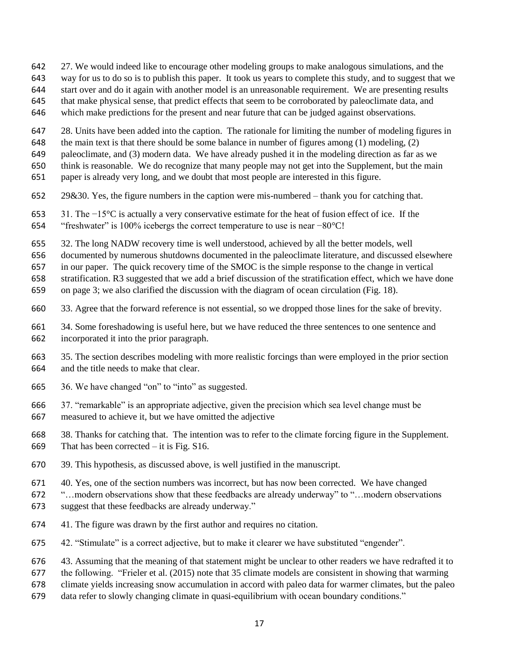- 27. We would indeed like to encourage other modeling groups to make analogous simulations, and the
- way for us to do so is to publish this paper. It took us years to complete this study, and to suggest that we
- start over and do it again with another model is an unreasonable requirement. We are presenting results
- that make physical sense, that predict effects that seem to be corroborated by paleoclimate data, and
- which make predictions for the present and near future that can be judged against observations.
- 28. Units have been added into the caption. The rationale for limiting the number of modeling figures in
- the main text is that there should be some balance in number of figures among (1) modeling, (2)
- paleoclimate, and (3) modern data. We have already pushed it in the modeling direction as far as we
- think is reasonable. We do recognize that many people may not get into the Supplement, but the main
- paper is already very long, and we doubt that most people are interested in this figure.
- 29&30. Yes, the figure numbers in the caption were mis-numbered thank you for catching that.
- 31. The −15°C is actually a very conservative estimate for the heat of fusion effect of ice. If the
- "freshwater" is 100% icebergs the correct temperature to use is near −80°C!
- 32. The long NADW recovery time is well understood, achieved by all the better models, well
- documented by numerous shutdowns documented in the paleoclimate literature, and discussed elsewhere

in our paper. The quick recovery time of the SMOC is the simple response to the change in vertical

- stratification. R3 suggested that we add a brief discussion of the stratification effect, which we have done
- on page 3; we also clarified the discussion with the diagram of ocean circulation (Fig. 18).
- 33. Agree that the forward reference is not essential, so we dropped those lines for the sake of brevity.
- 34. Some foreshadowing is useful here, but we have reduced the three sentences to one sentence and incorporated it into the prior paragraph.
- 35. The section describes modeling with more realistic forcings than were employed in the prior section and the title needs to make that clear.
- 36. We have changed "on" to "into" as suggested.
- 37. "remarkable" is an appropriate adjective, given the precision which sea level change must be measured to achieve it, but we have omitted the adjective
- 38. Thanks for catching that. The intention was to refer to the climate forcing figure in the Supplement. That has been corrected – it is Fig. S16.
- 39. This hypothesis, as discussed above, is well justified in the manuscript.
- 40. Yes, one of the section numbers was incorrect, but has now been corrected. We have changed
- "…modern observations show that these feedbacks are already underway" to "…modern observations
- suggest that these feedbacks are already underway."
- 41. The figure was drawn by the first author and requires no citation.
- 42. "Stimulate" is a correct adjective, but to make it clearer we have substituted "engender".
- 43. Assuming that the meaning of that statement might be unclear to other readers we have redrafted it to
- the following. "Frieler et al. (2015) note that 35 climate models are consistent in showing that warming
- climate yields increasing snow accumulation in accord with paleo data for warmer climates, but the paleo
- data refer to slowly changing climate in quasi-equilibrium with ocean boundary conditions."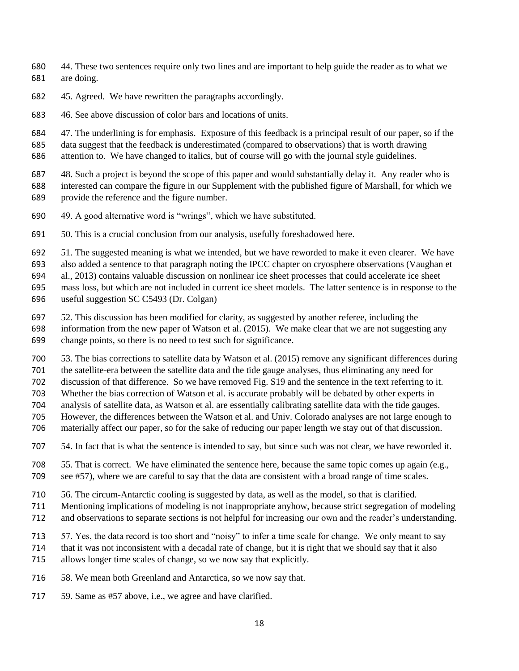- 44. These two sentences require only two lines and are important to help guide the reader as to what we are doing.
- 45. Agreed. We have rewritten the paragraphs accordingly.
- 46. See above discussion of color bars and locations of units.

47. The underlining is for emphasis. Exposure of this feedback is a principal result of our paper, so if the

 data suggest that the feedback is underestimated (compared to observations) that is worth drawing attention to. We have changed to italics, but of course will go with the journal style guidelines.

 48. Such a project is beyond the scope of this paper and would substantially delay it. Any reader who is interested can compare the figure in our Supplement with the published figure of Marshall, for which we provide the reference and the figure number.

- 49. A good alternative word is "wrings", which we have substituted.
- 50. This is a crucial conclusion from our analysis, usefully foreshadowed here.

51. The suggested meaning is what we intended, but we have reworded to make it even clearer. We have

also added a sentence to that paragraph noting the IPCC chapter on cryosphere observations (Vaughan et

al., 2013) contains valuable discussion on nonlinear ice sheet processes that could accelerate ice sheet

mass loss, but which are not included in current ice sheet models. The latter sentence is in response to the

useful suggestion SC C5493 (Dr. Colgan)

 52. This discussion has been modified for clarity, as suggested by another referee, including the information from the new paper of Watson et al. (2015). We make clear that we are not suggesting any change points, so there is no need to test such for significance.

53. The bias corrections to satellite data by Watson et al. (2015) remove any significant differences during

the satellite-era between the satellite data and the tide gauge analyses, thus eliminating any need for

discussion of that difference. So we have removed Fig. S19 and the sentence in the text referring to it.

Whether the bias correction of Watson et al. is accurate probably will be debated by other experts in

analysis of satellite data, as Watson et al. are essentially calibrating satellite data with the tide gauges.

- However, the differences between the Watson et al. and Univ. Colorado analyses are not large enough to
- materially affect our paper, so for the sake of reducing our paper length we stay out of that discussion.
- 54. In fact that is what the sentence is intended to say, but since such was not clear, we have reworded it.
- 55. That is correct. We have eliminated the sentence here, because the same topic comes up again (e.g., see #57), where we are careful to say that the data are consistent with a broad range of time scales.
- 56. The circum-Antarctic cooling is suggested by data, as well as the model, so that is clarified.
- Mentioning implications of modeling is not inappropriate anyhow, because strict segregation of modeling
- and observations to separate sections is not helpful for increasing our own and the reader's understanding.
- 57. Yes, the data record is too short and "noisy" to infer a time scale for change. We only meant to say
- that it was not inconsistent with a decadal rate of change, but it is right that we should say that it also
- allows longer time scales of change, so we now say that explicitly.
- 58. We mean both Greenland and Antarctica, so we now say that.
- 717 59. Same as #57 above, i.e., we agree and have clarified.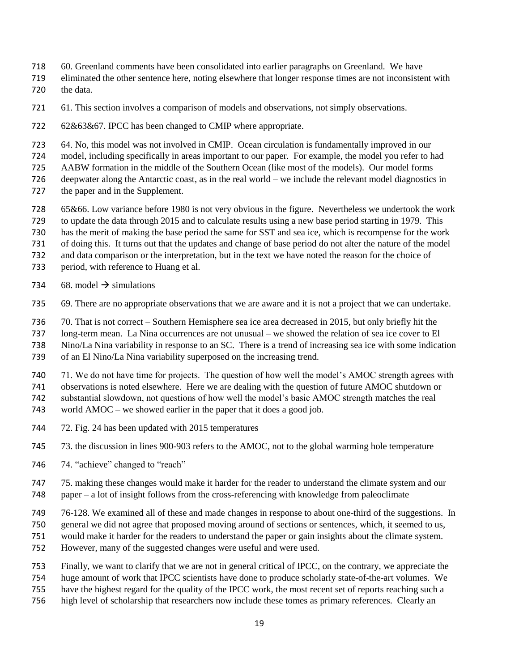- 60. Greenland comments have been consolidated into earlier paragraphs on Greenland. We have
- eliminated the other sentence here, noting elsewhere that longer response times are not inconsistent with the data.
- 61. This section involves a comparison of models and observations, not simply observations.
- 62&63&67. IPCC has been changed to CMIP where appropriate.
- 64. No, this model was not involved in CMIP. Ocean circulation is fundamentally improved in our
- model, including specifically in areas important to our paper. For example, the model you refer to had
- AABW formation in the middle of the Southern Ocean (like most of the models). Our model forms
- deepwater along the Antarctic coast, as in the real world we include the relevant model diagnostics in 727 the paper and in the Supplement.
- 65&66. Low variance before 1980 is not very obvious in the figure. Nevertheless we undertook the work
- to update the data through 2015 and to calculate results using a new base period starting in 1979. This
- has the merit of making the base period the same for SST and sea ice, which is recompense for the work
- of doing this. It turns out that the updates and change of base period do not alter the nature of the model
- and data comparison or the interpretation, but in the text we have noted the reason for the choice of
- period, with reference to Huang et al.
- 734 68. model  $\rightarrow$  simulations
- 69. There are no appropriate observations that we are aware and it is not a project that we can undertake.
- 70. That is not correct Southern Hemisphere sea ice area decreased in 2015, but only briefly hit the
- long-term mean. La Nina occurrences are not unusual we showed the relation of sea ice cover to El
- Nino/La Nina variability in response to an SC. There is a trend of increasing sea ice with some indication
- of an El Nino/La Nina variability superposed on the increasing trend.
- 71. We do not have time for projects. The question of how well the model's AMOC strength agrees with
- observations is noted elsewhere. Here we are dealing with the question of future AMOC shutdown or
- substantial slowdown, not questions of how well the model's basic AMOC strength matches the real
- world AMOC we showed earlier in the paper that it does a good job.
- 72. Fig. 24 has been updated with 2015 temperatures
- 73. the discussion in lines 900-903 refers to the AMOC, not to the global warming hole temperature
- 746 74. "achieve" changed to "reach"
- 75. making these changes would make it harder for the reader to understand the climate system and our paper – a lot of insight follows from the cross-referencing with knowledge from paleoclimate
- 76-128. We examined all of these and made changes in response to about one-third of the suggestions. In
- general we did not agree that proposed moving around of sections or sentences, which, it seemed to us,
- would make it harder for the readers to understand the paper or gain insights about the climate system.
- However, many of the suggested changes were useful and were used.
- Finally, we want to clarify that we are not in general critical of IPCC, on the contrary, we appreciate the
- huge amount of work that IPCC scientists have done to produce scholarly state-of-the-art volumes. We
- have the highest regard for the quality of the IPCC work, the most recent set of reports reaching such a
- high level of scholarship that researchers now include these tomes as primary references. Clearly an